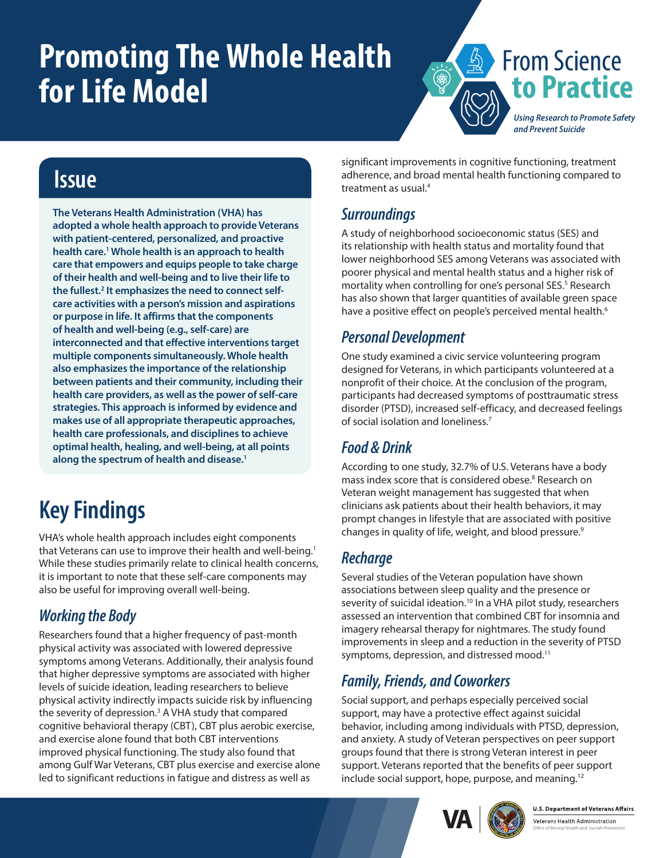# <span id="page-0-0"></span>**Promoting The Whole Health for Life Model**



### **Issue**

**The Veterans Health Administration (VHA) has adopted a whole health approach to provide Veterans with patient-centered, personalized, and proactive health care.[1](#page-1-0) Whole health is an approach to health care that empowers and equips people to take charge of their health and well-being and to live their life to the fullest[.2](#page-1-0) It emphasizes the need to connect selfcare activities with a person's mission and aspirations or purpose in life. It affirms that the components of health and well-being (e.g., self-care) are interconnected and that effective interventions target multiple components simultaneously. Whole health also emphasizes the importance of the relationship between patients and their community, including their health care providers, as well as the power of self-care strategies. This approach is informed by evidence and makes use of all appropriate therapeutic approaches, health care professionals, and disciplines to achieve optimal health, healing, and well-being, at all points along the spectrum of health and disease.[1](#page-1-1)**

## **Key Findings**

VHA's whole health approach includes eight components that Veterans can use to improve their health and well-being.<sup>[1](#page-1-1)</sup> While these studies primarily relate to clinical health concerns, it is important to note that these self-care components may also be useful for improving overall well-being.

#### *Working the Body*

Researchers found that a higher frequency of past-month physical activity was associated with lowered depressive symptoms among Veterans. Additionally, their analysis found that higher depressive symptoms are associated with higher levels of suicide ideation, leading researchers to believe physical activity indirectly impacts suicide risk by influencing the severity of depression.<sup>[3](#page-1-0)</sup> A VHA study that compared cognitive behavioral therapy (CBT), CBT plus aerobic exercise, and exercise alone found that both CBT interventions improved physical functioning. The study also found that among Gulf War Veterans, CBT plus exercise and exercise alone led to significant reductions in fatigue and distress as well as

significant improvements in cognitive functioning, treatment adherence, and broad mental health functioning compared to treatment as usual.[4](#page-1-0)

#### *Surroundings*

A study of neighborhood socioeconomic status (SES) and its relationship with health status and mortality found that lower neighborhood SES among Veterans was associated with poorer physical and mental health status and a higher risk of mortality when controlling for one's personal SES.<sup>[5](#page-1-0)</sup> Research has also shown that larger quantities of available green space have a positive effect on people's perceived mental health.<sup>[6](#page-1-0)</sup>

#### *Personal Development*

One study examined a civic service volunteering program designed for Veterans, in which participants volunteered at a nonprofit of their choice. At the conclusion of the program, participants had decreased symptoms of posttraumatic stress disorder (PTSD), increased self-efficacy, and decreased feelings of social isolation and loneliness.[7](#page-1-0)

#### *Food & Drink*

According to one study, 32.7% of U.S. Veterans have a body mass index score that is considered obese.<sup>[8](#page-1-0)</sup> Research on Veteran weight management has suggested that when clinicians ask patients about their health behaviors, it may prompt changes in lifestyle that are associated with positive changes in quality of life, weight, and blood pressure.[9](#page-1-0)

#### *Recharge*

Several studies of the Veteran population have shown associations between sleep quality and the presence or severity of suicidal ideation.<sup>10</sup> In a VHA pilot study, researchers assessed an intervention that combined CBT for insomnia and imagery rehearsal therapy for nightmares. The study found improvements in sleep and a reduction in the severity of PTSD symptoms, depression, and distressed mood.<sup>11</sup>

#### *Family, Friends, and Coworkers*

Social support, and perhaps especially perceived social support, may have a protective effect against suicidal behavior, including among individuals with PTSD, depression, and anxiety. A study of Veteran perspectives on peer support groups found that there is strong Veteran interest in peer support. Veterans reported that the benefits of peer support include social support, hope, purpose, and meaning.[12](#page-1-0)





Veterans Health Administration